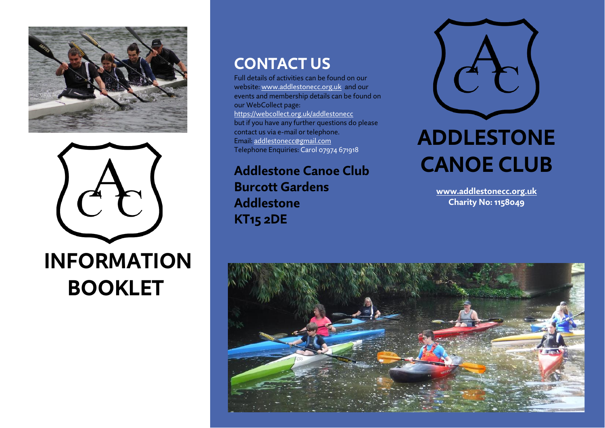



# **INFORMATION BOOKLET**

### **CONTACT US**

Full details of activities can be found on our website: [www.addlestonecc.org.uk](http://www.addlestonecc.org.uk/) and our events and membership details can be found on our WebCollect page: https://webcollect.org.uk/addlestonecc but if you have any further questions do please contact us via e-mail or telephone. Email[: addlestonecc@gmail.com](mailto:addlestonecc@gmail.com) Telephone Enquiries: Carol 07974 671918

**Addlestone Canoe Club Burcott Gardens Addlestone KT15 2DE**



# **ADDLESTONE CANOE CLUB**

**[www.addlestonecc.org.uk](http://www.addlestonecc.org.uk/) Charity No: 1158049**

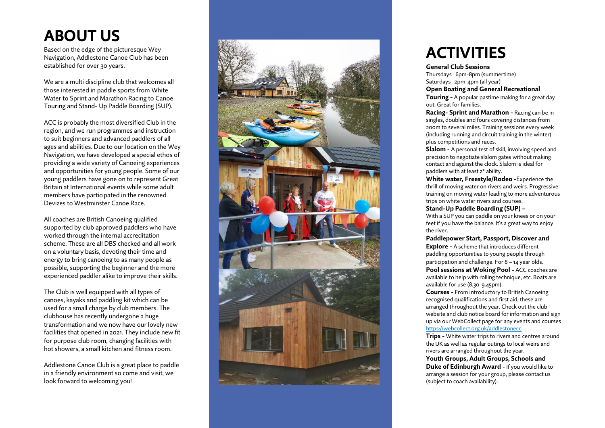## **ABOUT US**

Based on the edge of the picturesque Wey Navigation, Addlestone Canoe Club has been established for over 30 years.

We are a multi discipline club that welcomes all those interested in paddle sports from White Water to Sprint and Marathon Racing to Canoe Touring and Stand - Up Paddle Boarding (SUP) .

ACC is probably the most diversified Club in the region, and we run programmes and instruction to suit beginners and advanced paddlers of all ages and abilities. Due to our location on the Wey Navigation, we have developed a special ethos of providing a wide variety of Canoeing experiences and opportunities for young people. Some of our young paddlers have gone on to represent Great Britain at International events while some adult members have participated in the renowned Devizes to Westminster Canoe Race.

All coaches are British Canoeing qualified supported by club approved paddlers who have worked through the internal accreditation scheme. These are all DBS checked and all work on a voluntary basis, devoting their time and energy to bring canoeing to as many people as possible, supporting the beginner and the more experienced paddler alike to improve their skills.

The Club is well equipped with all types of canoes, kayaks and paddling kit which can be used for a small charge by club members. The clubhouse has recently undergone a huge transformation and we now have our lovely new facilities that opened in 2021. They include new fit for purpose club room, changing facilities with hot showers, a small kitchen and fitness room .

Addlestone Canoe Club is a great place to paddle in a friendly environment so come and visit, we look forward to welcoming you!



## **ACTIVITIES**

#### **General Club Sessions**

Thursdays 6pm -8pm (summertime) Saturdays 2pm -4pm (all year) **Open Boating and General Recreational** 

**Touring -** A popular pastime making for a great day out. Great for families.

**Racing - Sprint and Marathon -** Racing can be in singles, doubles and fours covering distances from 200m to several miles. Training sessions every week (including running and circuit training in the winter) plus competitions and races.

**Slalom** - A personal test of skill, involving speed and precision to negotiate slalom gates without making contact and against the clock. Slalom is ideal for paddlers with at least 2\* ability.

**White water, Freestyle/Rodeo -** Experience the thrill of moving water on rivers and weirs. Progressive training on moving water leading to more adventurous trips on white water rivers and courses.

### **Stand -Up Paddle Boarding (SUP) –**

With a SUP you can paddle on your knees or on your feet if you have the balance. It's a great way to enjoy the river .

#### **Paddlepower Start, Passport, Discover and**

**Explore -** A scheme that introduces different paddling opportunities to young people through participation and challenge. For 8 – 14 year olds. **Pool sessions at Woking Pool -** ACC coaches are available to help with rolling technique, etc. Boats are available for use (8.30 -9.45pm)

**Courses -** From introductory to British Canoeing recognised qualifications and first aid, these are arranged throughout the year. Check out the club website and club notice board for information and sign up via our WebCollect page for any events and courses <https://webcollect.org.uk/addlestonecc>

**Trips** - White water trips to rivers and centres around the UK as well as regular outings to local weirs and rivers are arranged throughout the year.

**Youth Groups, Adult Groups, Schools and Duke of Edinburgh Award -** If you would like to arrange a session for your group, please contact us (subject to coach availability).